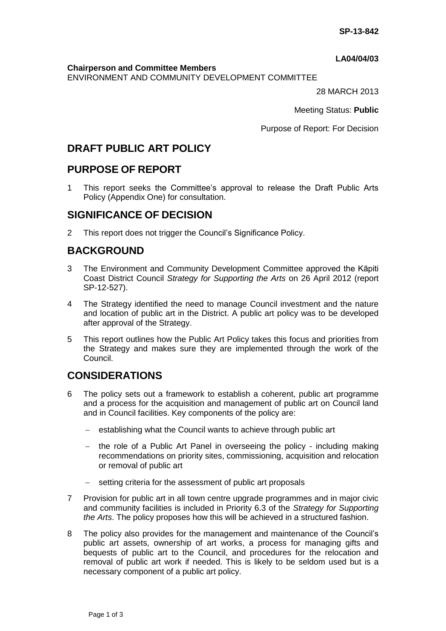#### **LA04/04/03**

**Chairperson and Committee Members**

ENVIRONMENT AND COMMUNITY DEVELOPMENT COMMITTEE

28 MARCH 2013

Meeting Status: **Public**

Purpose of Report: For Decision

# **DRAFT PUBLIC ART POLICY**

## **PURPOSE OF REPORT**

1 This report seeks the Committee's approval to release the Draft Public Arts Policy (Appendix One) for consultation.

## **SIGNIFICANCE OF DECISION**

2 This report does not trigger the Council's Significance Policy.

## **BACKGROUND**

- 3 The Environment and Community Development Committee approved the Kāpiti Coast District Council *Strategy for Supporting the Arts* on 26 April 2012 (report SP-12-527).
- 4 The Strategy identified the need to manage Council investment and the nature and location of public art in the District. A public art policy was to be developed after approval of the Strategy.
- 5 This report outlines how the Public Art Policy takes this focus and priorities from the Strategy and makes sure they are implemented through the work of the Council.

## **CONSIDERATIONS**

- 6 The policy sets out a framework to establish a coherent, public art programme and a process for the acquisition and management of public art on Council land and in Council facilities. Key components of the policy are:
	- establishing what the Council wants to achieve through public art
	- the role of a Public Art Panel in overseeing the policy including making recommendations on priority sites, commissioning, acquisition and relocation or removal of public art
	- setting criteria for the assessment of public art proposals
- 7 Provision for public art in all town centre upgrade programmes and in major civic and community facilities is included in Priority 6.3 of the *Strategy for Supporting the Arts*. The policy proposes how this will be achieved in a structured fashion.
- 8 The policy also provides for the management and maintenance of the Council's public art assets, ownership of art works, a process for managing gifts and bequests of public art to the Council, and procedures for the relocation and removal of public art work if needed. This is likely to be seldom used but is a necessary component of a public art policy.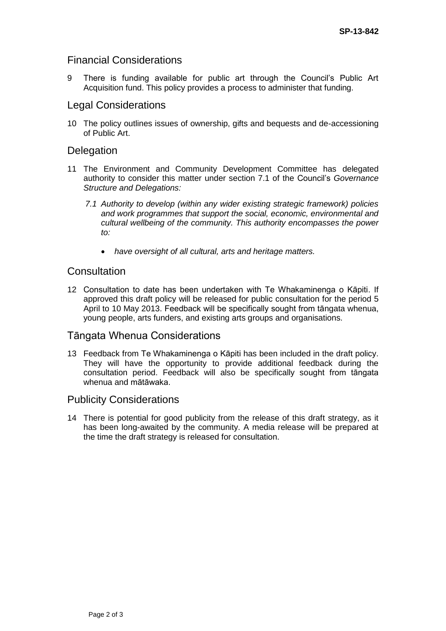### Financial Considerations

9 There is funding available for public art through the Council's Public Art Acquisition fund. This policy provides a process to administer that funding.

#### Legal Considerations

10 The policy outlines issues of ownership, gifts and bequests and de-accessioning of Public Art.

#### **Delegation**

- 11 The Environment and Community Development Committee has delegated authority to consider this matter under section 7.1 of the Council's *Governance Structure and Delegations:*
	- *7.1 Authority to develop (within any wider existing strategic framework) policies and work programmes that support the social, economic, environmental and cultural wellbeing of the community. This authority encompasses the power to:*
		- *have oversight of all cultural, arts and heritage matters.*

#### **Consultation**

12 Consultation to date has been undertaken with Te Whakaminenga o Kāpiti. If approved this draft policy will be released for public consultation for the period 5 April to 10 May 2013. Feedback will be specifically sought from tāngata whenua, young people, arts funders, and existing arts groups and organisations.

#### Tāngata Whenua Considerations

13 Feedback from Te Whakaminenga o Kāpiti has been included in the draft policy. They will have the opportunity to provide additional feedback during the consultation period. Feedback will also be specifically sought from tāngata whenua and mātāwaka.

#### Publicity Considerations

14 There is potential for good publicity from the release of this draft strategy, as it has been long-awaited by the community. A media release will be prepared at the time the draft strategy is released for consultation.